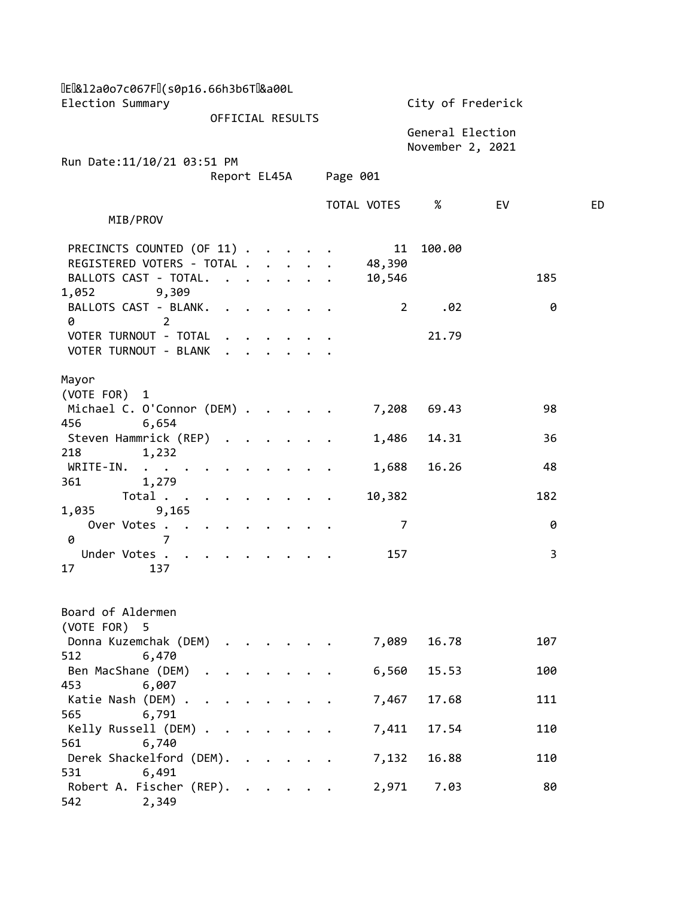| [E &12a0o7c067F ](s0p16.66h3b6T &a00L                             |                                      |                      |  |  |  |          |              |                                      |    |     |    |
|-------------------------------------------------------------------|--------------------------------------|----------------------|--|--|--|----------|--------------|--------------------------------------|----|-----|----|
|                                                                   | Election Summary<br>OFFICIAL RESULTS |                      |  |  |  |          |              | City of Frederick                    |    |     |    |
|                                                                   |                                      |                      |  |  |  |          |              | General Election<br>November 2, 2021 |    |     |    |
| Run Date: 11/10/21 03:51 PM                                       | Report EL45A                         |                      |  |  |  | Page 001 |              |                                      |    |     |    |
|                                                                   |                                      |                      |  |  |  |          | TOTAL VOTES  | %                                    | EV |     | ED |
| MIB/PROV                                                          |                                      |                      |  |  |  |          |              |                                      |    |     |    |
| PRECINCTS COUNTED (OF 11)                                         |                                      |                      |  |  |  |          | 11           | 100.00                               |    |     |    |
| REGISTERED VOTERS - TOTAL                                         |                                      |                      |  |  |  |          | 48,390       |                                      |    |     |    |
| BALLOTS CAST - TOTAL.                                             |                                      |                      |  |  |  |          | 10,546       |                                      |    | 185 |    |
| 9,309<br>1,052<br>BALLOTS CAST - BLANK.<br>$\overline{2}$<br>0    |                                      |                      |  |  |  |          | $\mathbf{2}$ | .02                                  |    | 0   |    |
| VOTER TURNOUT - TOTAL                                             |                                      |                      |  |  |  |          |              | 21.79                                |    |     |    |
| VOTER TURNOUT - BLANK                                             |                                      |                      |  |  |  |          |              |                                      |    |     |    |
| Mayor                                                             |                                      |                      |  |  |  |          |              |                                      |    |     |    |
| (VOTE FOR)<br>1                                                   |                                      |                      |  |  |  |          |              |                                      |    |     |    |
| Michael C. O'Connor (DEM)                                         |                                      |                      |  |  |  |          | 7,208        | 69.43                                |    | 98  |    |
| 6,654<br>456                                                      |                                      |                      |  |  |  |          |              |                                      |    |     |    |
| Steven Hammrick (REP)                                             |                                      |                      |  |  |  |          | 1,486        | 14.31                                |    | 36  |    |
| 218<br>1,232<br>WRITE-IN.<br>$\bullet$ .<br>$\bullet$ . $\bullet$ |                                      |                      |  |  |  |          | 1,688        | 16.26                                |    | 48  |    |
| 1,279<br>361                                                      |                                      |                      |  |  |  |          |              |                                      |    |     |    |
| Total<br>9,165<br>1,035                                           |                                      |                      |  |  |  |          | 10,382       |                                      |    | 182 |    |
| Over Votes                                                        |                                      |                      |  |  |  |          | 7            |                                      |    | 0   |    |
| $\overline{7}$<br>0                                               |                                      |                      |  |  |  |          |              |                                      |    |     |    |
| Under Votes<br>17<br>137                                          |                                      |                      |  |  |  |          | 157          |                                      |    | 3   |    |
|                                                                   |                                      |                      |  |  |  |          |              |                                      |    |     |    |
| Board of Aldermen                                                 |                                      |                      |  |  |  |          |              |                                      |    |     |    |
| (VOTE FOR) 5<br>Donna Kuzemchak (DEM) .                           |                                      |                      |  |  |  |          | 7,089        | 16.78                                |    | 107 |    |
| 6,470<br>512                                                      |                                      |                      |  |  |  |          |              |                                      |    |     |    |
| Ben MacShane (DEM) .                                              |                                      |                      |  |  |  |          | 6,560        | 15.53                                |    | 100 |    |
| 6,007<br>453                                                      |                                      |                      |  |  |  |          |              |                                      |    |     |    |
| Katie Nash (DEM)<br>565<br>6,791                                  | $\ddot{\phantom{a}}$                 |                      |  |  |  |          | 7,467        | 17.68                                |    | 111 |    |
| Kelly Russell (DEM)                                               |                                      |                      |  |  |  |          | 7,411        | 17.54                                |    | 110 |    |
| 6,740<br>561                                                      |                                      |                      |  |  |  |          |              |                                      |    |     |    |
| Derek Shackelford (DEM).                                          |                                      |                      |  |  |  |          | 7,132        | 16.88                                |    | 110 |    |
| 6,491<br>531<br>Robert A. Fischer (REP).<br>2,349<br>542          |                                      | $\ddot{\phantom{a}}$ |  |  |  |          | 2,971        | 7.03                                 |    | 80  |    |
|                                                                   |                                      |                      |  |  |  |          |              |                                      |    |     |    |